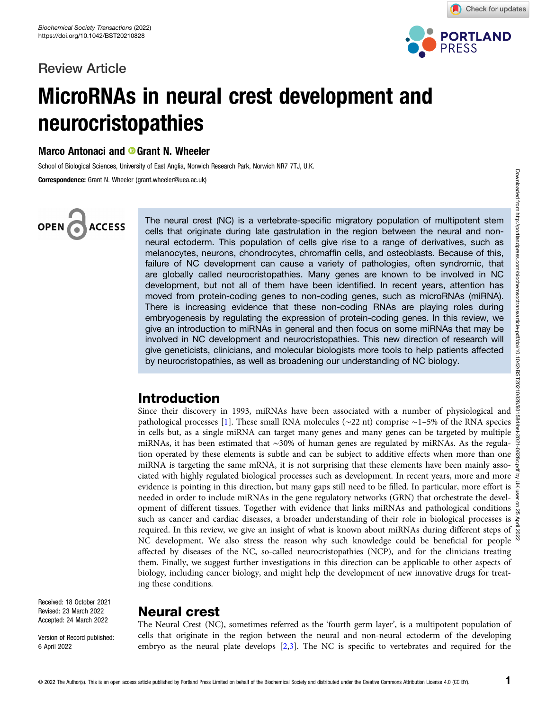# Review Article



Check for updates

# MicroRNAs in neural crest development and neurocristopathies

Marco Antonaci and **O** Grant N. Wheeler

School of Biological Sciences, University of East Anglia, Norwich Research Park, Norwich NR7 7TJ, U.K.

Correspondence: Grant N. Wheeler (grant.wheeler@uea.ac.uk)

# OPEN<sub>6</sub> **ACCESS**

The neural crest (NC) is a vertebrate-specific migratory population of multipotent stem cells that originate during late gastrulation in the region between the neural and nonneural ectoderm. This population of cells give rise to a range of derivatives, such as melanocytes, neurons, chondrocytes, chromaffin cells, and osteoblasts. Because of this, failure of NC development can cause a variety of pathologies, often syndromic, that are globally called neurocristopathies. Many genes are known to be involved in NC development, but not all of them have been identified. In recent years, attention has moved from protein-coding genes to non-coding genes, such as microRNAs (miRNA). There is increasing evidence that these non-coding RNAs are playing roles during embryogenesis by regulating the expression of protein-coding genes. In this review, we give an introduction to miRNAs in general and then focus on some miRNAs that may be involved in NC development and neurocristopathies. This new direction of research will give geneticists, clinicians, and molecular biologists more tools to help patients affected by neurocristopathies, as well as broadening our understanding of NC biology.

# Introduction

Since their discovery in 1993, miRNAs have been associated with a number of physiological and pathological processes [\[1](#page-7-0)]. These small RNA molecules (∼22 nt) comprise ∼1–5% of the RNA species in cells but, as a single miRNA can target many genes and many genes can be targeted by multiple miRNAs, it has been estimated that ∼30% of human genes are regulated by miRNAs. As the regulation operated by these elements is subtle and can be subject to additive effects when more than one  $\frac{80}{80}$ miRNA is targeting the same mRNA, it is not surprising that these elements have been mainly asso- $\frac{y}{2}$ ciated with highly regulated biological processes such as development. In recent years, more and more  $\overline{g}$ evidence is pointing in this direction, but many gaps still need to be filled. In particular, more effort is  $\frac{5}{2}$ needed in order to include miRNAs in the gene regulatory networks (GRN) that orchestrate the development of different tissues. Together with evidence that links miRNAs and pathological conditions  $\frac{3}{2}$ such as cancer and cardiac diseases, a broader understanding of their role in biological processes is  $\ddot{\hat{\epsilon}}$ required. In this review, we give an insight of what is known about miRNAs during different steps of  $\frac{8}{8}$ NC development. We also stress the reason why such knowledge could be beneficial for people  $\aleph$ affected by diseases of the NC, so-called neurocristopathies (NCP), and for the clinicians treating them. Finally, we suggest further investigations in this direction can be applicable to other aspects of biology, including cancer biology, and might help the development of new innovative drugs for treating these conditions.

Received: 18 October 2021 Revised: 23 March 2022 Accepted: 24 March 2022

Version of Record published: 6 April 2022

# Neural crest

The Neural Crest (NC), sometimes referred as the 'fourth germ layer', is a multipotent population of cells that originate in the region between the neural and non-neural ectoderm of the developing embryo as the neural plate develops [[2,3\]](#page-7-0). The NC is specific to vertebrates and required for the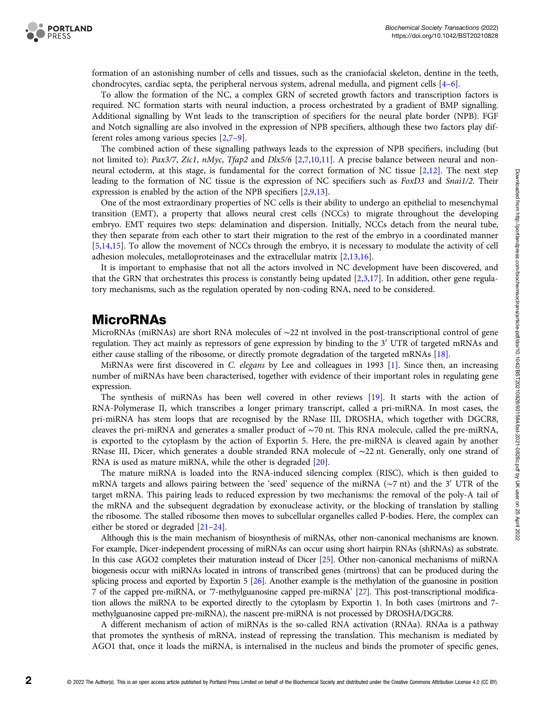

formation of an astonishing number of cells and tissues, such as the craniofacial skeleton, dentine in the teeth, chondrocytes, cardiac septa, the peripheral nervous system, adrenal medulla, and pigment cells [\[4](#page-7-0)–[6\]](#page-7-0).

To allow the formation of the NC, a complex GRN of secreted growth factors and transcription factors is required. NC formation starts with neural induction, a process orchestrated by a gradient of BMP signalling. Additional signalling by Wnt leads to the transcription of specifiers for the neural plate border (NPB). FGF and Notch signalling are also involved in the expression of NPB specifiers, although these two factors play different roles among various species [[2](#page-7-0),[7](#page-7-0)–[9](#page-7-0)].

The combined action of these signalling pathways leads to the expression of NPB specifiers, including (but not limited to): Pax3/7, Zic1, nMyc, Tfap[2](#page-7-0) and Dlx5/6 [2,[7](#page-7-0),[10,11\]](#page-7-0). A precise balance between neural and nonneural ectoderm, at this stage, is fundamental for the correct formation of NC tissue [[2](#page-7-0),[12](#page-7-0)]. The next step leading to the formation of NC tissue is the expression of NC specifiers such as FoxD3 and Snai1/2. Their expression is enabled by the action of the NPB specifiers [[2,9,13](#page-7-0)].

One of the most extraordinary properties of NC cells is their ability to undergo an epithelial to mesenchymal transition (EMT), a property that allows neural crest cells (NCCs) to migrate throughout the developing embryo. EMT requires two steps: delamination and dispersion. Initially, NCCs detach from the neural tube, they then separate from each other to start their migration to the rest of the embryo in a coordinated manner [[5,14,15\]](#page-7-0). To allow the movement of NCCs through the embryo, it is necessary to modulate the activity of cell adhesion molecules, metalloproteinases and the extracellular matrix [[2](#page-7-0),[13,16\]](#page-7-0).

It is important to emphasise that not all the actors involved in NC development have been discovered, and that the GRN that orchestrates this process is constantly being updated [\[2,3,17\]](#page-7-0). In addition, other gene regulatory mechanisms, such as the regulation operated by non-coding RNA, need to be considered.

## MicroRNAs

MicroRNAs (miRNAs) are short RNA molecules of ∼22 nt involved in the post-transcriptional control of gene regulation. They act mainly as repressors of gene expression by binding to the 3<sup>'</sup> UTR of targeted mRNAs and either cause stalling of the ribosome, or directly promote degradation of the targeted mRNAs [[18](#page-7-0)].

MiRNAs were first discovered in C. elegans by Lee and colleagues in 1993 [[1](#page-7-0)]. Since then, an increasing number of miRNAs have been characterised, together with evidence of their important roles in regulating gene expression.

The synthesis of miRNAs has been well covered in other reviews [[19](#page-7-0)]. It starts with the action of RNA-Polymerase II, which transcribes a longer primary transcript, called a pri-miRNA. In most cases, the pri-miRNA has stem loops that are recognised by the RNase III, DROSHA, which together with DGCR8, cleaves the pri-miRNA and generates a smaller product of ∼70 nt. This RNA molecule, called the pre-miRNA, is exported to the cytoplasm by the action of Exportin 5. Here, the pre-miRNA is cleaved again by another RNase III, Dicer, which generates a double stranded RNA molecule of ∼22 nt. Generally, only one strand of RNA is used as mature miRNA, while the other is degraded [[20](#page-7-0)].

The mature miRNA is loaded into the RNA-induced silencing complex (RISC), which is then guided to mRNA targets and allows pairing between the 'seed' sequence of the miRNA ( $\sim$ 7 nt) and the 3<sup>'</sup> UTR of the target mRNA. This pairing leads to reduced expression by two mechanisms: the removal of the poly-A tail of the mRNA and the subsequent degradation by exonuclease activity, or the blocking of translation by stalling the ribosome. The stalled ribosome then moves to subcellular organelles called P-bodies. Here, the complex can either be stored or degraded [[21](#page-7-0)–[24](#page-7-0)].

Although this is the main mechanism of biosynthesis of miRNAs, other non-canonical mechanisms are known. For example, Dicer-independent processing of miRNAs can occur using short hairpin RNAs (shRNAs) as substrate. In this case AGO2 completes their maturation instead of Dicer [\[25\]](#page-7-0). Other non-canonical mechanisms of miRNA biogenesis occur with miRNAs located in introns of transcribed genes (mirtrons) that can be produced during the splicing process and exported by Exportin 5 [\[26](#page-7-0)]. Another example is the methylation of the guanosine in position 7 of the capped pre-miRNA, or '7-methylguanosine capped pre-miRNA' [[27\]](#page-7-0). This post-transcriptional modification allows the miRNA to be exported directly to the cytoplasm by Exportin 1. In both cases (mirtrons and 7 methylguanosine capped pre-miRNA), the nascent pre-miRNA is not processed by DROSHA/DGCR8.

A different mechanism of action of miRNAs is the so-called RNA activation (RNAa). RNAa is a pathway that promotes the synthesis of mRNA, instead of repressing the translation. This mechanism is mediated by AGO1 that, once it loads the miRNA, is internalised in the nucleus and binds the promoter of specific genes,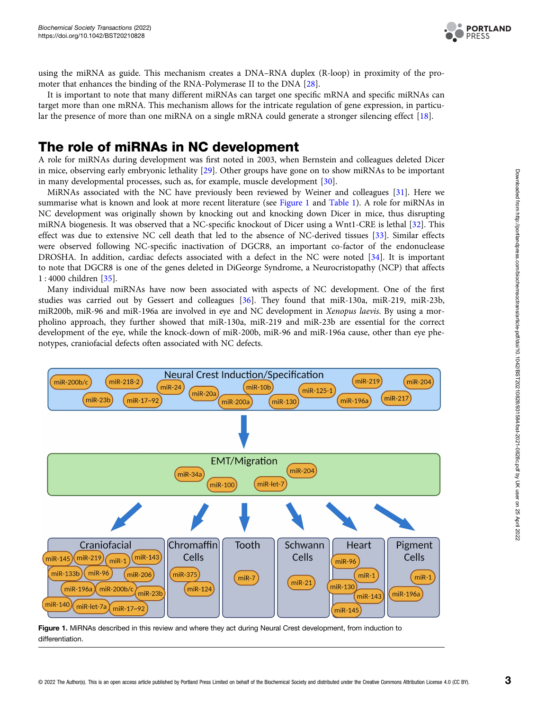

<span id="page-2-0"></span>using the miRNA as guide. This mechanism creates a DNA–RNA duplex (R-loop) in proximity of the promoter that enhances the binding of the RNA-Polymerase II to the DNA [\[28\]](#page-8-0).

It is important to note that many different miRNAs can target one specific mRNA and specific miRNAs can target more than one mRNA. This mechanism allows for the intricate regulation of gene expression, in particular the presence of more than one miRNA on a single mRNA could generate a stronger silencing effect [[18](#page-7-0)].

# The role of miRNAs in NC development

A role for miRNAs during development was first noted in 2003, when Bernstein and colleagues deleted Dicer in mice, observing early embryonic lethality [[29](#page-8-0)]. Other groups have gone on to show miRNAs to be important in many developmental processes, such as, for example, muscle development [\[30\]](#page-8-0).

MiRNAs associated with the NC have previously been reviewed by Weiner and colleagues [\[31\]](#page-8-0). Here we summarise what is known and look at more recent literature (see Figure 1 and [Table 1\)](#page-3-0). A role for miRNAs in NC development was originally shown by knocking out and knocking down Dicer in mice, thus disrupting miRNA biogenesis. It was observed that a NC-specific knockout of Dicer using a Wnt1-CRE is lethal [\[32\]](#page-8-0). This effect was due to extensive NC cell death that led to the absence of NC-derived tissues [\[33\]](#page-8-0). Similar effects were observed following NC-specific inactivation of DGCR8, an important co-factor of the endonuclease DROSHA. In addition, cardiac defects associated with a defect in the NC were noted [[34](#page-8-0)]. It is important to note that DGCR8 is one of the genes deleted in DiGeorge Syndrome, a Neurocristopathy (NCP) that affects 1 : 4000 children [[35\]](#page-8-0).

Many individual miRNAs have now been associated with aspects of NC development. One of the first studies was carried out by Gessert and colleagues [[36](#page-8-0)]. They found that miR-130a, miR-219, miR-23b, miR200b, miR-96 and miR-196a are involved in eye and NC development in Xenopus laevis. By using a morpholino approach, they further showed that miR-130a, miR-219 and miR-23b are essential for the correct development of the eye, while the knock-down of miR-200b, miR-96 and miR-196a cause, other than eye phenotypes, craniofacial defects often associated with NC defects.



Figure 1. MiRNAs described in this review and where they act during Neural Crest development, from induction to differentiation.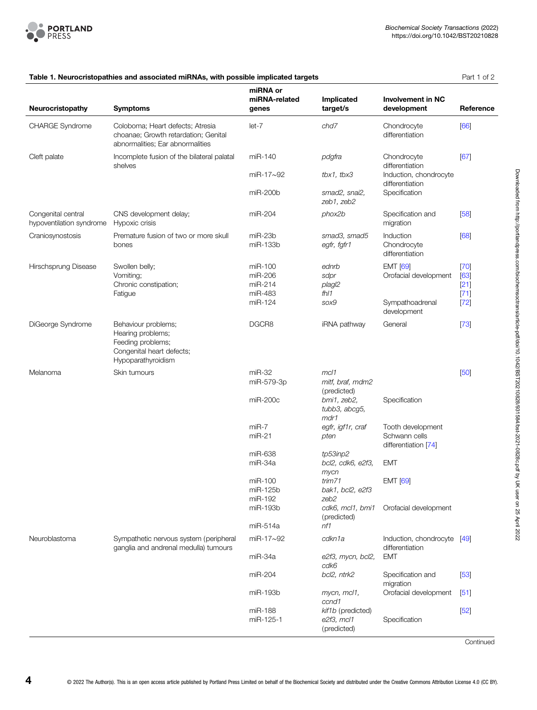<span id="page-3-0"></span>

|                                                | Table 1. Neurocristopathies and associated mirrinas, with possible implicated targets                            |                                          |                                                                 |                                                            | Part 1 OFZ                         |
|------------------------------------------------|------------------------------------------------------------------------------------------------------------------|------------------------------------------|-----------------------------------------------------------------|------------------------------------------------------------|------------------------------------|
| Neurocristopathy                               | <b>Symptoms</b>                                                                                                  | miRNA or<br>miRNA-related<br>genes       | Implicated<br>target/s                                          | <b>Involvement in NC</b><br>development                    | Reference                          |
| <b>CHARGE Syndrome</b>                         | Coloboma; Heart defects; Atresia<br>choanae: Growth retardation: Genital<br>abnormalities; Ear abnormalities     | $let-7$                                  | chd7                                                            | Chondrocyte<br>differentiation                             | [66]                               |
| Cleft palate                                   | Incomplete fusion of the bilateral palatal<br>shelves                                                            | miR-140                                  | pdgfra                                                          | Chondrocyte<br>differentiation                             | [67]                               |
|                                                |                                                                                                                  | $miR-17\sim92$                           | tbx1, tbx3                                                      | Induction, chondrocyte<br>differentiation                  |                                    |
|                                                |                                                                                                                  | $miR-200b$                               | smad2, snai2,<br>zeb1, zeb2                                     | Specification                                              |                                    |
| Congenital central<br>hypoventilation syndrome | CNS development delay;<br>Hypoxic crisis                                                                         | miR-204                                  | phox2b                                                          | Specification and<br>migration                             | [58]                               |
| Craniosynostosis                               | Premature fusion of two or more skull<br>bones                                                                   | $miR-23b$<br>miR-133b                    | smad3, smad5<br>egfr, fgfr1                                     | Induction<br>Chondrocyte<br>differentiation                | [68]                               |
| Hirschsprung Disease                           | Swollen belly;<br>Vomiting;<br>Chronic constipation;<br>Fatigue                                                  | miR-100<br>miR-206<br>miR-214<br>miR-483 | ednrb<br>sdpr<br>plagl2<br>fhl1                                 | <b>EMT</b> [69]<br>Orofacial development                   | $[70]$<br>[63]<br>$[21]$<br>$[71]$ |
|                                                |                                                                                                                  | miR-124                                  | sox9                                                            | Sympathoadrenal<br>development                             | $[72]$                             |
| DiGeorge Syndrome                              | Behaviour problems;<br>Hearing problems;<br>Feeding problems;<br>Congenital heart defects;<br>Hypoparathyroidism | DGCR8                                    | iRNA pathway                                                    | General                                                    | $[73]$                             |
| Melanoma                                       | Skin tumours                                                                                                     | $miR-32$                                 | mcl1                                                            |                                                            | [50]                               |
|                                                |                                                                                                                  | miR-579-3p<br>miR-200c                   | mitf, braf, mdm2<br>(predicted)<br>bmi1, zeb2,<br>tubb3, abcg5, | Specification                                              |                                    |
|                                                |                                                                                                                  |                                          | mdr1                                                            |                                                            |                                    |
|                                                |                                                                                                                  | $miR-7$<br>$miR-21$                      | egfr, igf1r, craf<br>pten                                       | Tooth development<br>Schwann cells<br>differentiation [74] |                                    |
|                                                |                                                                                                                  | miR-638                                  | tp53inp2                                                        |                                                            |                                    |
|                                                |                                                                                                                  | miR-34a                                  | bcl2, cdk6, e2f3,<br>mycn                                       | <b>EMT</b>                                                 |                                    |
|                                                |                                                                                                                  | miR-100<br>miR-125b                      | trim71<br>bak1, bcl2, e2f3                                      | <b>EMT</b> [69]                                            |                                    |
|                                                |                                                                                                                  | miR-192<br>miR-193b                      | zeb2<br>cdk6, mcl1, bmi1<br>(predicted)                         | Orofacial development                                      |                                    |
|                                                |                                                                                                                  | miR-514a                                 | nf1                                                             |                                                            |                                    |
| Neuroblastoma                                  | Sympathetic nervous system (peripheral<br>ganglia and andrenal medulla) tumours                                  | miR-17~92                                | cdkn1a                                                          | Induction, chondrocyte [49]<br>differentiation             |                                    |
|                                                |                                                                                                                  | miR-34a                                  | e2f3, mycn, bcl2,<br>cdk6                                       | <b>EMT</b>                                                 |                                    |
|                                                |                                                                                                                  | miR-204                                  | bcl2, ntrk2                                                     | Specification and<br>migration                             | $[53]$                             |
|                                                |                                                                                                                  | miR-193b                                 | mycn, mcl1,<br>ccnd1                                            | Orofacial development                                      | [51]                               |
|                                                |                                                                                                                  | miR-188<br>miR-125-1                     | kif1b (predicted)<br>e2f3, mcl1<br>(predicted)                  | Specification                                              | $[52]$                             |

## Table 1. Neurocristopathies and associated miRNAs, with possible implicated targets **Part 1 of 2** Part 1 of 2

**Continued**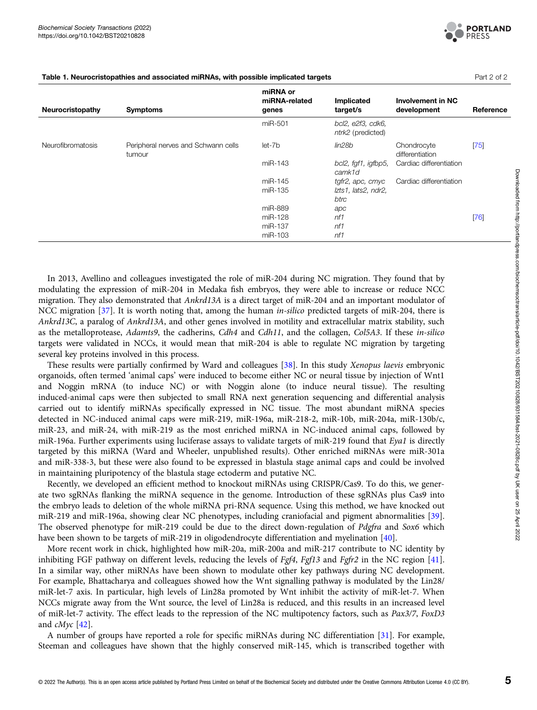

| Neurocristopathy         | <b>Symptoms</b>                               | miRNA or<br>miRNA-related<br>genes | Implicated<br>target/s                 | <b>Involvement in NC</b><br>development | Reference |
|--------------------------|-----------------------------------------------|------------------------------------|----------------------------------------|-----------------------------------------|-----------|
|                          |                                               | miR-501                            | bcl2, e2f3, cdk6,<br>ntrk2 (predicted) |                                         |           |
| <b>Neurofibromatosis</b> | Peripheral nerves and Schwann cells<br>tumour | let-7b                             | lin28b                                 | Chondrocyte<br>differentiation          | $[75]$    |
|                          |                                               | miR-143                            | bcl2, fgf1, igfbp5,<br>camk1d          | Cardiac differentiation                 |           |
|                          |                                               | miR-145                            | tgfr2, apc, cmyc                       | Cardiac differentiation                 |           |
|                          |                                               | miR-135                            | Izts1, lats2, ndr2,                    |                                         |           |
|                          |                                               |                                    | btrc                                   |                                         |           |
|                          |                                               | miR-889                            | apc                                    |                                         |           |
|                          |                                               | miR-128                            | n f1                                   |                                         | [76]      |
|                          |                                               | miR-137                            | n f1                                   |                                         |           |
|                          |                                               | miR-103                            | n f 1                                  |                                         |           |

Table 1. Neurocristopathies and associated miRNAs, with possible implicated targets **Part 2 of 2** Part 2 of 2

In 2013, Avellino and colleagues investigated the role of miR-204 during NC migration. They found that by modulating the expression of miR-204 in Medaka fish embryos, they were able to increase or reduce NCC migration. They also demonstrated that Ankrd13A is a direct target of miR-204 and an important modulator of NCC migration [\[37\]](#page-8-0). It is worth noting that, among the human *in-silico* predicted targets of miR-204, there is Ankrd13C, a paralog of Ankrd13A, and other genes involved in motility and extracellular matrix stability, such as the metalloprotease, Adamts9, the cadherins, Cdh4 and Cdh11, and the collagen, Col5A3. If these in-silico targets were validated in NCCs, it would mean that miR-204 is able to regulate NC migration by targeting several key proteins involved in this process.

These results were partially confirmed by Ward and colleagues [\[38\]](#page-8-0). In this study Xenopus laevis embryonic organoids, often termed 'animal caps' were induced to become either NC or neural tissue by injection of Wnt1 and Noggin mRNA (to induce NC) or with Noggin alone (to induce neural tissue). The resulting induced-animal caps were then subjected to small RNA next generation sequencing and differential analysis carried out to identify miRNAs specifically expressed in NC tissue. The most abundant miRNA species detected in NC-induced animal caps were miR-219, miR-196a, miR-218-2, miR-10b, miR-204a, miR-130b/c, miR-23, and miR-24, with miR-219 as the most enriched miRNA in NC-induced animal caps, followed by miR-196a. Further experiments using luciferase assays to validate targets of miR-219 found that Eya1 is directly targeted by this miRNA (Ward and Wheeler, unpublished results). Other enriched miRNAs were miR-301a and miR-338-3, but these were also found to be expressed in blastula stage animal caps and could be involved in maintaining pluripotency of the blastula stage ectoderm and putative NC.

Recently, we developed an efficient method to knockout miRNAs using CRISPR/Cas9. To do this, we generate two sgRNAs flanking the miRNA sequence in the genome. Introduction of these sgRNAs plus Cas9 into the embryo leads to deletion of the whole miRNA pri-RNA sequence. Using this method, we have knocked out miR-219 and miR-196a, showing clear NC phenotypes, including craniofacial and pigment abnormalities [\[39\]](#page-8-0). The observed phenotype for miR-219 could be due to the direct down-regulation of Pdgfra and Sox6 which have been shown to be targets of miR-219 in oligodendrocyte differentiation and myelination [\[40](#page-8-0)].

More recent work in chick, highlighted how miR-20a, miR-200a and miR-217 contribute to NC identity by inhibiting FGF pathway on different levels, reducing the levels of *Fgf4*, *Fgf13* and *Fgfr2* in the NC region [[41\]](#page-8-0). In a similar way, other miRNAs have been shown to modulate other key pathways during NC development. For example, Bhattacharya and colleagues showed how the Wnt signalling pathway is modulated by the Lin28/ miR-let-7 axis. In particular, high levels of Lin28a promoted by Wnt inhibit the activity of miR-let-7. When NCCs migrate away from the Wnt source, the level of Lin28a is reduced, and this results in an increased level of miR-let-7 activity. The effect leads to the repression of the NC multipotency factors, such as Pax3/7, FoxD3 and cMyc [[42](#page-8-0)].

A number of groups have reported a role for specific miRNAs during NC differentiation [\[31\]](#page-8-0). For example, Steeman and colleagues have shown that the highly conserved miR-145, which is transcribed together with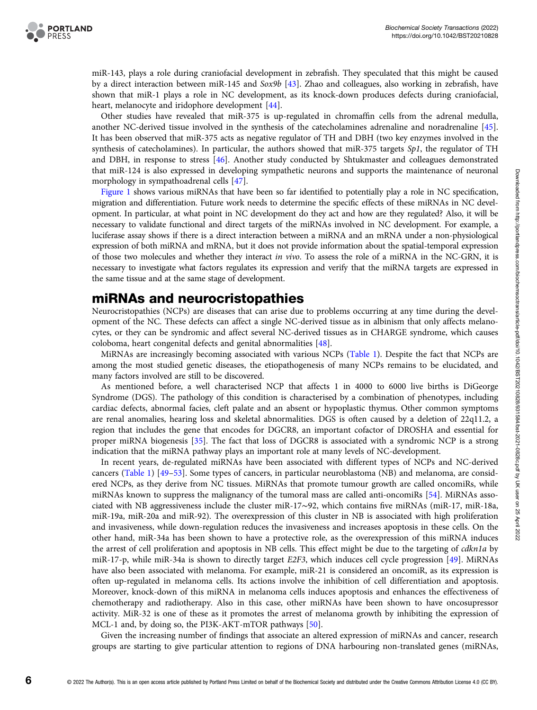

miR-143, plays a role during craniofacial development in zebrafish. They speculated that this might be caused by a direct interaction between miR-145 and Sox9b [\[43\]](#page-8-0). Zhao and colleagues, also working in zebrafish, have shown that miR-1 plays a role in NC development, as its knock-down produces defects during craniofacial, heart, melanocyte and iridophore development [[44\]](#page-8-0).

Other studies have revealed that miR-375 is up-regulated in chromaffin cells from the adrenal medulla, another NC-derived tissue involved in the synthesis of the catecholamines adrenaline and noradrenaline [[45](#page-8-0)]. It has been observed that miR-375 acts as negative regulator of TH and DBH (two key enzymes involved in the synthesis of catecholamines). In particular, the authors showed that miR-375 targets  $Sp1$ , the regulator of TH and DBH, in response to stress [[46](#page-8-0)]. Another study conducted by Shtukmaster and colleagues demonstrated that miR-124 is also expressed in developing sympathetic neurons and supports the maintenance of neuronal morphology in sympathoadrenal cells [[47\]](#page-8-0).

[Figure 1](#page-2-0) shows various miRNAs that have been so far identified to potentially play a role in NC specification, migration and differentiation. Future work needs to determine the specific effects of these miRNAs in NC development. In particular, at what point in NC development do they act and how are they regulated? Also, it will be necessary to validate functional and direct targets of the miRNAs involved in NC development. For example, a luciferase assay shows if there is a direct interaction between a miRNA and an mRNA under a non-physiological expression of both miRNA and mRNA, but it does not provide information about the spatial-temporal expression of those two molecules and whether they interact in vivo. To assess the role of a miRNA in the NC-GRN, it is necessary to investigate what factors regulates its expression and verify that the miRNA targets are expressed in the same tissue and at the same stage of development.

## miRNAs and neurocristopathies

Neurocristopathies (NCPs) are diseases that can arise due to problems occurring at any time during the development of the NC. These defects can affect a single NC-derived tissue as in albinism that only affects melanocytes, or they can be syndromic and affect several NC-derived tissues as in CHARGE syndrome, which causes coloboma, heart congenital defects and genital abnormalities [\[48\]](#page-8-0).

MiRNAs are increasingly becoming associated with various NCPs ([Table 1](#page-3-0)). Despite the fact that NCPs are among the most studied genetic diseases, the etiopathogenesis of many NCPs remains to be elucidated, and many factors involved are still to be discovered.

As mentioned before, a well characterised NCP that affects 1 in 4000 to 6000 live births is DiGeorge Syndrome (DGS). The pathology of this condition is characterised by a combination of phenotypes, including cardiac defects, abnormal facies, cleft palate and an absent or hypoplastic thymus. Other common symptoms are renal anomalies, hearing loss and skeletal abnormalities. DGS is often caused by a deletion of 22q11.2, a region that includes the gene that encodes for DGCR8, an important cofactor of DROSHA and essential for proper miRNA biogenesis [\[35](#page-8-0)]. The fact that loss of DGCR8 is associated with a syndromic NCP is a strong indication that the miRNA pathway plays an important role at many levels of NC-development.

In recent years, de-regulated miRNAs have been associated with different types of NCPs and NC-derived cancers [\(Table 1\)](#page-3-0) [[49](#page-8-0)–[53\]](#page-8-0). Some types of cancers, in particular neuroblastoma (NB) and melanoma, are considered NCPs, as they derive from NC tissues. MiRNAs that promote tumour growth are called oncomiRs, while miRNAs known to suppress the malignancy of the tumoral mass are called anti-oncomiRs [\[54](#page-8-0)]. MiRNAs associated with NB aggressiveness include the cluster miR-17∼92, which contains five miRNAs (miR-17, miR-18a, miR-19a, miR-20a and miR-92). The overexpression of this cluster in NB is associated with high proliferation and invasiveness, while down-regulation reduces the invasiveness and increases apoptosis in these cells. On the other hand, miR-34a has been shown to have a protective role, as the overexpression of this miRNA induces the arrest of cell proliferation and apoptosis in NB cells. This effect might be due to the targeting of cdkn1a by miR-17-p, while miR-34a is shown to directly target E2F3, which induces cell cycle progression [[49](#page-8-0)]. MiRNAs have also been associated with melanoma. For example, miR-21 is considered an oncomiR, as its expression is often up-regulated in melanoma cells. Its actions involve the inhibition of cell differentiation and apoptosis. Moreover, knock-down of this miRNA in melanoma cells induces apoptosis and enhances the effectiveness of chemotherapy and radiotherapy. Also in this case, other miRNAs have been shown to have oncosupressor activity. MiR-32 is one of these as it promotes the arrest of melanoma growth by inhibiting the expression of MCL-1 and, by doing so, the PI3K-AKT-mTOR pathways [[50\]](#page-8-0).

Given the increasing number of findings that associate an altered expression of miRNAs and cancer, research groups are starting to give particular attention to regions of DNA harbouring non-translated genes (miRNAs,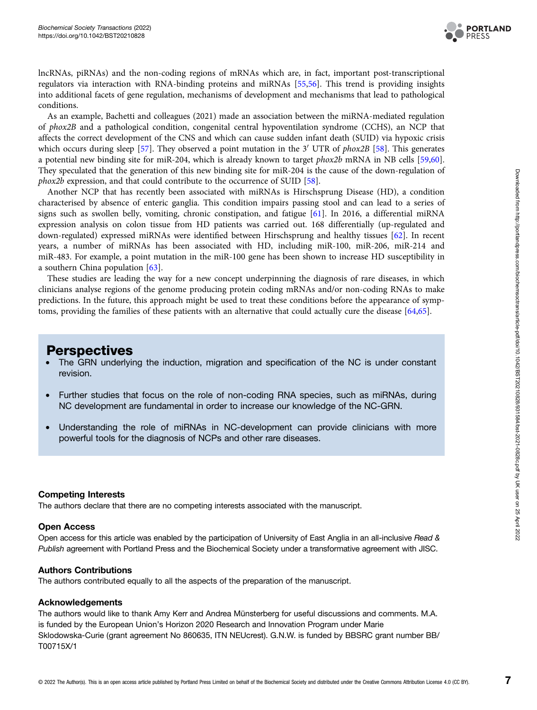

lncRNAs, piRNAs) and the non-coding regions of mRNAs which are, in fact, important post-transcriptional regulators via interaction with RNA-binding proteins and miRNAs [[55,56](#page-8-0)]. This trend is providing insights into additional facets of gene regulation, mechanisms of development and mechanisms that lead to pathological conditions.

As an example, Bachetti and colleagues (2021) made an association between the miRNA-mediated regulation of phox2B and a pathological condition, congenital central hypoventilation syndrome (CCHS), an NCP that affects the correct development of the CNS and which can cause sudden infant death (SUID) via hypoxic crisis which occurs during sleep [[57](#page-8-0)]. They observed a point mutation in the 3<sup>'</sup> UTR of *phox2B* [[58](#page-8-0)]. This generates a potential new binding site for miR-204, which is already known to target phox2b mRNA in NB cells [\[59,](#page-8-0)[60\]](#page-9-0). They speculated that the generation of this new binding site for miR-204 is the cause of the down-regulation of phox2b expression, and that could contribute to the occurrence of SUID [\[58\]](#page-8-0).

Another NCP that has recently been associated with miRNAs is Hirschsprung Disease (HD), a condition characterised by absence of enteric ganglia. This condition impairs passing stool and can lead to a series of signs such as swollen belly, vomiting, chronic constipation, and fatigue [\[61\]](#page-9-0). In 2016, a differential miRNA expression analysis on colon tissue from HD patients was carried out. 168 differentially (up-regulated and down-regulated) expressed miRNAs were identified between Hirschsprung and healthy tissues [\[62\]](#page-9-0). In recent years, a number of miRNAs has been associated with HD, including miR-100, miR-206, miR-214 and miR-483. For example, a point mutation in the miR-100 gene has been shown to increase HD susceptibility in a southern China population [\[63](#page-9-0)].

These studies are leading the way for a new concept underpinning the diagnosis of rare diseases, in which clinicians analyse regions of the genome producing protein coding mRNAs and/or non-coding RNAs to make predictions. In the future, this approach might be used to treat these conditions before the appearance of symptoms, providing the families of these patients with an alternative that could actually cure the disease [\[64,65](#page-9-0)].

## **Perspectives**

- The GRN underlying the induction, migration and specification of the NC is under constant revision.
- Further studies that focus on the role of non-coding RNA species, such as miRNAs, during NC development are fundamental in order to increase our knowledge of the NC-GRN.
- Understanding the role of miRNAs in NC-development can provide clinicians with more powerful tools for the diagnosis of NCPs and other rare diseases.

## Competing Interests

The authors declare that there are no competing interests associated with the manuscript.

### Open Access

Open access for this article was enabled by the participation of University of East Anglia in an all-inclusive Read & Publish agreement with Portland Press and the Biochemical Society under a transformative agreement with JISC.

### Authors Contributions

The authors contributed equally to all the aspects of the preparation of the manuscript.

### Acknowledgements

The authors would like to thank Amy Kerr and Andrea Münsterberg for useful discussions and comments. M.A. is funded by the European Union's Horizon 2020 Research and Innovation Program under Marie Sklodowska-Curie (grant agreement No 860635, ITN NEUcrest). G.N.W. is funded by BBSRC grant number BB/ T00715X/1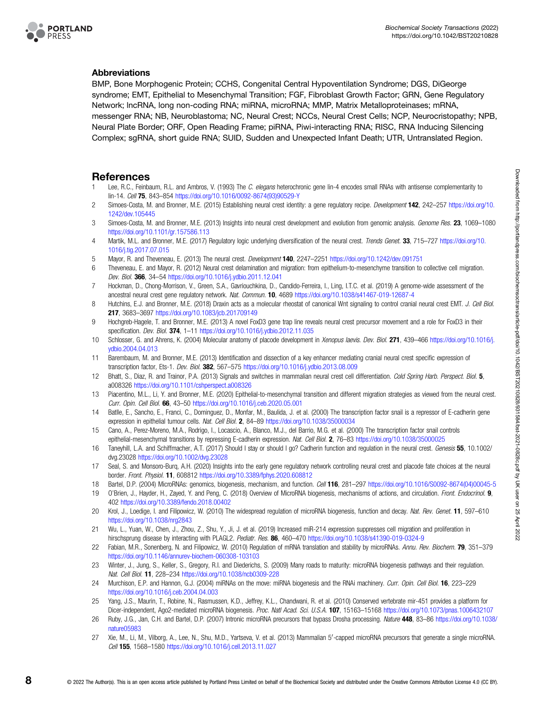<span id="page-7-0"></span>

## Abbreviations

BMP, Bone Morphogenic Protein; CCHS, Congenital Central Hypoventilation Syndrome; DGS, DiGeorge syndrome; EMT, Epithelial to Mesenchymal Transition; FGF, Fibroblast Growth Factor; GRN, Gene Regulatory Network; lncRNA, long non-coding RNA; miRNA, microRNA; MMP, Matrix Metalloproteinases; mRNA, messenger RNA; NB, Neuroblastoma; NC, Neural Crest; NCCs, Neural Crest Cells; NCP, Neurocristopathy; NPB, Neural Plate Border; ORF, Open Reading Frame; piRNA, Piwi-interacting RNA; RISC, RNA Inducing Silencing Complex; sgRNA, short guide RNA; SUID, Sudden and Unexpected Infant Death; UTR, Untranslated Region.

## References

- Lee, R.C., Feinbaum, R.L. and Ambros, V. (1993) The C. elegans heterochronic gene lin-4 encodes small RNAs with antisense complementarity to lin-14. Cell 75, 843–854 [https://doi.org/10.1016/0092-8674\(93\)90529-Y](https://doi.org/10.1016/0092-8674(93)90529-Y)
- 2 Simoes-Costa, M. and Bronner, M.E. (2015) Establishing neural crest identity: a gene regulatory recipe. Development 142, 242–257 [https://doi.org/10.](https://doi.org/10.1242/dev.105445) [1242/dev.105445](https://doi.org/10.1242/dev.105445)
- 3 Simoes-Costa, M. and Bronner, M.E. (2013) Insights into neural crest development and evolution from genomic analysis. Genome Res. 23, 1069–1080 <https://doi.org/10.1101/gr.157586.113>
- 4 Martik, M.L. and Bronner, M.E. (2017) Regulatory logic underlying diversification of the neural crest. Trends Genet. 33, 715–727 [https://doi.org/10.](https://doi.org/10.1016/j.tig.2017.07.015) [1016/j.tig.2017.07.015](https://doi.org/10.1016/j.tig.2017.07.015)
- 5 Mayor, R. and Theveneau, E. (2013) The neural crest. Development 140, 2247–2251 <https://doi.org/10.1242/dev.091751>
- 6 Theveneau, E. and Mayor, R. (2012) Neural crest delamination and migration: from epithelium-to-mesenchyme transition to collective cell migration. Dev. Biol. 366, 34–54 <https://doi.org/10.1016/j.ydbio.2011.12.041>
- 7 Hockman, D., Chong-Morrison, V., Green, S.A., Gavriouchkina, D., Candido-Ferreira, I., Ling, I.T.C. et al. (2019) A genome-wide assessment of the ancestral neural crest gene regulatory network. Nat. Commun. 10, 4689 <https://doi.org/10.1038/s41467-019-12687-4>
- 8 Hutchins, E.J. and Bronner, M.E. (2018) Draxin acts as a molecular rheostat of canonical Wnt signaling to control cranial neural crest EMT. J. Cell Biol. 217, 3683–3697 <https://doi.org/10.1083/jcb.201709149>
- 9 Hochgreb-Hagele, T. and Bronner, M.E. (2013) A novel FoxD3 gene trap line reveals neural crest precursor movement and a role for FoxD3 in their specification. Dev. Biol. 374, 1-11 <https://doi.org/10.1016/j.ydbio.2012.11.035>
- 10 Schlosser, G. and Ahrens, K. (2004) Molecular anatomy of placode development in Xenopus laevis. Dev. Biol. 271, 439–466 [https://doi.org/10.1016/j.](https://doi.org/10.1016/j.ydbio.2004.04.013) [ydbio.2004.04.013](https://doi.org/10.1016/j.ydbio.2004.04.013)
- 11 Barembaum, M. and Bronner, M.E. (2013) Identification and dissection of a key enhancer mediating cranial neural crest specific expression of transcription factor, Ets-1. Dev. Biol. 382, 567–575 <https://doi.org/10.1016/j.ydbio.2013.08.009>
- 12 Bhatt, S., Diaz, R. and Trainor, P.A. (2013) Signals and switches in mammalian neural crest cell differentiation. Cold Spring Harb. Perspect. Biol. 5, a008326 <https://doi.org/10.1101/cshperspect.a008326>
- 13 Piacentino, M.L., Li, Y. and Bronner, M.E. (2020) Epithelial-to-mesenchymal transition and different migration strategies as viewed from the neural crest. Curr. Opin. Cell Biol. 66, 43–50 <https://doi.org/10.1016/j.ceb.2020.05.001>
- 14 Batlle, E., Sancho, E., Franci, C., Dominguez, D., Monfar, M., Baulida, J. et al. (2000) The transcription factor snail is a repressor of E-cadherin gene expression in epithelial tumour cells. Nat. Cell Biol. 2, 84-89 <https://doi.org/10.1038/35000034>
- 15 Cano, A., Perez-Moreno, M.A., Rodrigo, I., Locascio, A., Blanco, M.J., del Barrio, M.G. et al. (2000) The transcription factor snail controls epithelial-mesenchymal transitions by repressing E-cadherin expression. Nat. Cell Biol. 2, 76–83 <https://doi.org/10.1038/35000025>
- 16 Taneyhill, L.A. and Schiffmacher, A.T. (2017) Should I stay or should I go? Cadherin function and regulation in the neural crest. Genesis 55, 10.1002/ dvg.23028 <https://doi.org/10.1002/dvg.23028>
- 17 Seal, S. and Monsoro-Burq, A.H. (2020) Insights into the early gene regulatory network controlling neural crest and placode fate choices at the neural border. Front. Physiol. 11, 608812 <https://doi.org/10.3389/fphys.2020.608812>
- 18 Bartel, D.P. (2004) MicroRNAs: genomics, biogenesis, mechanism, and function. Cell 116, 281-297 [https://doi.org/10.1016/S0092-8674\(04\)00045-5](https://doi.org/10.1016/S0092-8674(04)00045-5)
- 19 O'Brien, J., Hayder, H., Zayed, Y. and Peng, C. (2018) Overview of MicroRNA biogenesis, mechanisms of actions, and circulation. Front. Endocrinol. 9, 402 <https://doi.org/10.3389/fendo.2018.00402>
- 20 Krol, J., Loedige, I. and Filipowicz, W. (2010) The widespread regulation of microRNA biogenesis, function and decay. Nat. Rev. Genet. 11, 597–610 <https://doi.org/10.1038/nrg2843>
- 21 Wu, L., Yuan, W., Chen, J., Zhou, Z., Shu, Y., Ji, J. et al. (2019) Increased miR-214 expression suppresses cell migration and proliferation in hirschsprung disease by interacting with PLAGL2. Pediatr. Res. 86, 460–470 <https://doi.org/10.1038/s41390-019-0324-9>
- 22 Fabian, M.R., Sonenberg, N. and Filipowicz, W. (2010) Regulation of mRNA translation and stability by microRNAs. Annu. Rev. Biochem. 79, 351-379 <https://doi.org/10.1146/annurev-biochem-060308-103103>
- 23 Winter, J., Jung, S., Keller, S., Gregory, R.I. and Diederichs, S. (2009) Many roads to maturity: microRNA biogenesis pathways and their regulation. Nat. Cell Biol. 11, 228–234 <https://doi.org/10.1038/ncb0309-228>
- 24 Murchison, E.P. and Hannon, G.J. (2004) miRNAs on the move: miRNA biogenesis and the RNAi machinery. Curr. Opin. Cell Biol. 16, 223-229 <https://doi.org/10.1016/j.ceb.2004.04.003>
- 25 Yang, J.S., Maurin, T., Robine, N., Rasmussen, K.D., Jeffrey, K.L., Chandwani, R. et al. (2010) Conserved vertebrate mir-451 provides a platform for Dicer-independent, Ago2-mediated microRNA biogenesis. Proc. Natl Acad. Sci. U.S.A. 107, 15163-15168 <https://doi.org/10.1073/pnas.1006432107>
- 26 Ruby, J.G., Jan, C.H. and Bartel, D.P. (2007) Intronic microRNA precursors that bypass Drosha processing. Nature 448, 83–86 [https://doi.org/10.1038/](https://doi.org/10.1038/nature05983) [nature05983](https://doi.org/10.1038/nature05983)
- 27 Xie, M., Li, M., Vilborg, A., Lee, N., Shu, M.D., Yartseva, V. et al. (2013) Mammalian 5'-capped microRNA precursors that generate a single microRNA. Cell 155, 1568–1580 <https://doi.org/10.1016/j.cell.2013.11.027>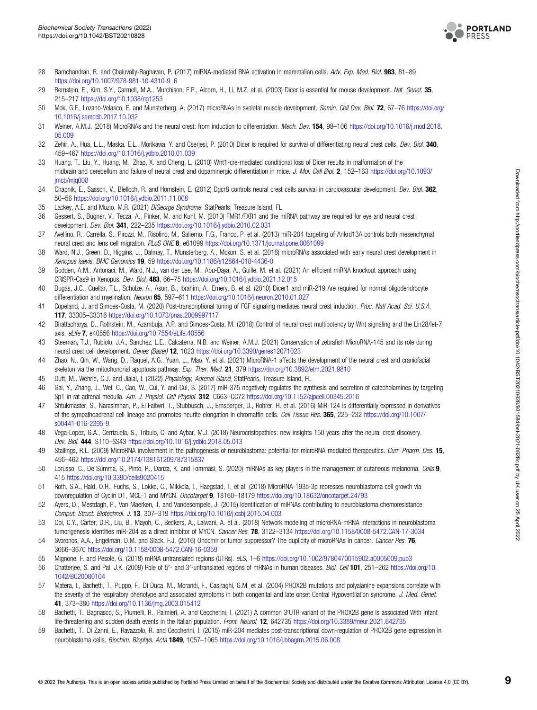

- <span id="page-8-0"></span>28 Ramchandran, R. and Chaluvally-Raghavan, P. (2017) miRNA-mediated RNA activation in mammalian cells. Adv. Exp. Med. Biol. 983, 81-89 [https://doi.org/10.1007/978-981-10-4310-9\\_6](https://doi.org/10.1007/978-981-10-4310-9_6)
- 29 Bernstein, E., Kim, S.Y., Carmell, M.A., Murchison, E.P., Alcorn, H., Li, M.Z. et al. (2003) Dicer is essential for mouse development. Nat. Genet. 35, 215–217 <https://doi.org/10.1038/ng1253>
- 30 Mok, G.F., Lozano-Velasco, E. and Munsterberg, A. (2017) microRNAs in skeletal muscle development. Semin. Cell Dev. Biol. 72, 67-76 [https://doi.org/](https://doi.org/10.1016/j.semcdb.2017.10.032) [10.1016/j.semcdb.2017.10.032](https://doi.org/10.1016/j.semcdb.2017.10.032)
- 31 Weiner, A.M.J. (2018) MicroRNAs and the neural crest: from induction to differentiation. Mech. Dev. 154, 98–106 [https://doi.org/10.1016/j.mod.2018.](https://doi.org/10.1016/j.mod.2018.05.009) [05.009](https://doi.org/10.1016/j.mod.2018.05.009)
- 32 Zehir, A., Hua, L.L., Maska, E.L., Morikawa, Y. and Cserjesi, P. (2010) Dicer is required for survival of differentiating neural crest cells. Dev. Biol. 340, 459–467 <https://doi.org/10.1016/j.ydbio.2010.01.039>
- 33 Huang, T., Liu, Y., Huang, M., Zhao, X. and Cheng, L. (2010) Wnt1-cre-mediated conditional loss of Dicer results in malformation of the midbrain and cerebellum and failure of neural crest and dopaminergic differentiation in mice. J. Mol. Cell Biol. 2, 152-163 [https://doi.org/10.1093/](https://doi.org/10.1093/jmcb/mjq008) imcb/mig008
- 34 Chapnik, E., Sasson, V., Blelloch, R. and Hornstein, E. (2012) Dgcr8 controls neural crest cells survival in cardiovascular development. Dev. Biol. 362, 50–56 <https://doi.org/10.1016/j.ydbio.2011.11.008>
- 35 Lackey, A.E. and Muzio, M.R. (2021) DiGeorge Syndrome, StatPearls, Treasure Island, FL
- 36 Gessert, S., Bugner, V., Tecza, A., Pinker, M. and Kuhl, M. (2010) FMR1/FXR1 and the miRNA pathway are required for eye and neural crest development. Dev. Biol. 341, 222–235 <https://doi.org/10.1016/j.ydbio.2010.02.031>
- 37 Avellino, R., Carrella, S., Pirozzi, M., Risolino, M., Salierno, F.G., Franco, P. et al. (2013) miR-204 targeting of Ankrd13A controls both mesenchymal neural crest and lens cell migration. PLoS ONE 8, e61099 <https://doi.org/10.1371/journal.pone.0061099>
- 38 Ward, N.J., Green, D., Higgins, J., Dalmay, T., Munsterberg, A., Moxon, S. et al. (2018) microRNAs associated with early neural crest development in Xenopus laevis. BMC Genomics 19, 59 <https://doi.org/10.1186/s12864-018-4436-0>
- 39 Godden, A.M., Antonaci, M., Ward, N.J., van der Lee, M., Abu-Daya, A., Guille, M. et al. (2021) An efficient miRNA knockout approach using CRISPR-Cas9 in Xenopus. Dev. Biol. 483, 66–75 <https://doi.org/10.1016/j.ydbio.2021.12.015>
- 40 Dugas, J.C., Cuellar, T.L., Scholze, A., Ason, B., Ibrahim, A., Emery, B. et al. (2010) Dicer1 and miR-219 Are required for normal oligodendrocyte differentiation and myelination. Neuron 65, 597-611 <https://doi.org/10.1016/j.neuron.2010.01.027>
- 41 Copeland, J. and Simoes-Costa, M. (2020) Post-transcriptional tuning of FGF signaling mediates neural crest induction. Proc. Natl Acad. Sci. U.S.A. 117, 33305–33316 <https://doi.org/10.1073/pnas.2009997117>
- 42 Bhattacharya, D., Rothstein, M., Azambuja, A.P. and Simoes-Costa, M. (2018) Control of neural crest multipotency by Wnt signaling and the Lin28/let-7 axis. eLife 7, e40556 <https://doi.org/10.7554/eLife.40556>
- 43 Steeman, T.J., Rubiolo, J.A., Sanchez, L.E., Calcaterra, N.B. and Weiner, A.M.J. (2021) Conservation of zebrafish MicroRNA-145 and its role during neural crest cell development. Genes (Basel) 12, 1023 <https://doi.org/10.3390/genes12071023>
- 44 Zhao, N., Qin, W., Wang, D., Raquel, A.G., Yuan, L., Mao, Y. et al. (2021) MicroRNA-1 affects the development of the neural crest and craniofacial skeleton via the mitochondrial apoptosis pathway. Exp. Ther. Med. 21, 379 <https://doi.org/10.3892/etm.2021.9810>
- 45 Dutt, M., Wehrle, C.J. and Jialal, I. (2022) Physiology, Adrenal Gland, StatPearls, Treasure Island, FL
- 46 Gai, Y., Zhang, J., Wei, C., Cao, W., Cui, Y. and Cui, S. (2017) miR-375 negatively regulates the synthesis and secretion of catecholamines by targeting Sp1 in rat adrenal medulla. Am. J. Physiol. Cell Physiol. 312, C663–CC72 <https://doi.org/10.1152/ajpcell.00345.2016>
- 47 Shtukmaster, S., Narasimhan, P., El Faitwri, T., Stubbusch, J., Ernsberger, U., Rohrer, H. et al. (2016) MiR-124 is differentially expressed in derivatives of the sympathoadrenal cell lineage and promotes neurite elongation in chromaffin cells. Cell Tissue Res. 365, 225–232 [https://doi.org/10.1007/](https://doi.org/10.1007/s00441-016-2395-9) [s00441-016-2395-9](https://doi.org/10.1007/s00441-016-2395-9)
- 48 Vega-Lopez, G.A., Cerrizuela, S., Tribulo, C. and Aybar, M.J. (2018) Neurocristopathies: new insights 150 years after the neural crest discovery. Dev. Biol. 444, S110–SS43 <https://doi.org/10.1016/j.ydbio.2018.05.013>
- 49 Stallings, R.L. (2009) MicroRNA involvement in the pathogenesis of neuroblastoma: potential for microRNA mediated therapeutics. Curr. Pharm. Des. 15, 456–462 <https://doi.org/10.2174/138161209787315837>
- 50 Lorusso, C., De Summa, S., Pinto, R., Danza, K. and Tommasi, S. (2020) miRNAs as key players in the management of cutaneous melanoma. Cells 9, 415 <https://doi.org/10.3390/cells9020415>
- 51 Roth, S.A., Hald, O.H., Fuchs, S., Lokke, C., Mikkola, I., Flaegstad, T. et al. (2018) MicroRNA-193b-3p represses neuroblastoma cell growth via downregulation of Cyclin D1, MCL-1 and MYCN. Oncotarget 9, 18160-18179 <https://doi.org/10.18632/oncotarget.24793>
- 52 Ayers, D., Mestdagh, P., Van Maerken, T. and Vandesompele, J. (2015) Identification of miRNAs contributing to neuroblastoma chemoresistance. Comput. Struct. Biotechnol. J. 13, 307–319 <https://doi.org/10.1016/j.csbj.2015.04.003>
- 53 Ooi, C.Y., Carter, D.R., Liu, B., Mayoh, C., Beckers, A., Lalwani, A. et al. (2018) Network modeling of microRNA-mRNA interactions in neuroblastoma tumorigenesis identifies miR-204 as a direct inhibitor of MYCN. Cancer Res. 78, 3122–3134 <https://doi.org/10.1158/0008-5472.CAN-17-3034>
- 54 Svoronos, A.A., Engelman, D.M. and Slack, F.J. (2016) Oncomir or tumor suppressor? The duplicity of microRNAs in cancer. Cancer Res. 76, 3666–3670 <https://doi.org/10.1158/0008-5472.CAN-16-0359>
- 55 Mignone, F. and Pesole, G. (2018) mRNA untranslated regions (UTRs). eLS, 1–6 <https://doi.org/10.1002/9780470015902.a0005009.pub3>
- 56 Chatterjee, S. and Pal, J.K. (2009) Role of 5'- and 3'-untranslated regions of mRNAs in human diseases. Biol. Cell 101, 251-262 [https://doi.org/10.](https://doi.org/10.1042/BC20080104) [1042/BC20080104](https://doi.org/10.1042/BC20080104)
- 57 Matera, I., Bachetti, T., Puppo, F., Di Duca, M., Morandi, F., Casiraghi, G.M. et al. (2004) PHOX2B mutations and polyalanine expansions correlate with the severity of the respiratory phenotype and associated symptoms in both congenital and late onset Central Hypoventilation syndrome. J. Med. Genet. 41, 373–380 <https://doi.org/10.1136/jmg.2003.015412>
- 58 Bachetti, T., Bagnasco, S., Piumelli, R., Palmieri, A. and Ceccherini, I. (2021) A common 3'UTR variant of the PHOX2B gene Is associated With infant life-threatening and sudden death events in the Italian population. Front. Neurol. 12, 642735 <https://doi.org/10.3389/fneur.2021.642735>
- 59 Bachetti, T., Di Zanni, E., Ravazzolo, R. and Ceccherini, I. (2015) miR-204 mediates post-transcriptional down-regulation of PHOX2B gene expression in neuroblastoma cells. Biochim. Biophys. Acta 1849, 1057-1065 <https://doi.org/10.1016/j.bbagrm.2015.06.008>